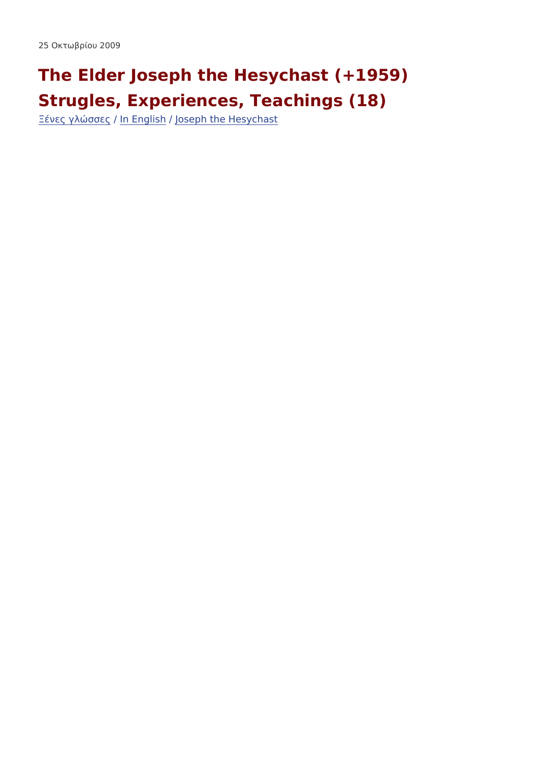The Elder Joseph the Hesychast (+1959) Strugles, Experiences, Teachings (18)  $\underline{\check{z}}$  - 1/<sub>2</sub>  $\mu$   $\hat{A}$  <sup>3</sup> »  $\hat{I}$   $\tilde{A}$   $\tilde{A}$   $\mu$  $\tilde{A}$   $E$  ng li*fall*  $\sigma$  seph the Hesychast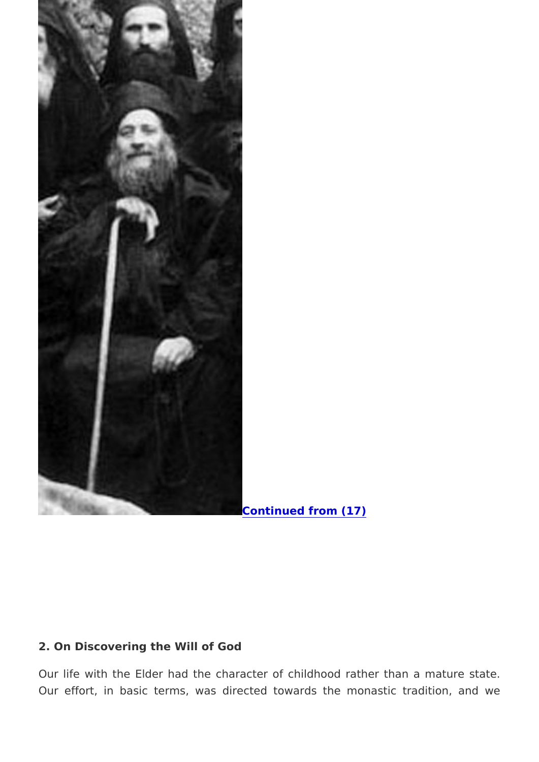[Continued from](http://www.diakonima.gr/2009/10/24/the-elder-joseph-the-hesychast-1959-strugles-experiences-teachings-17/) (17)

2. On Discovering the Will of God

Our life with the Elder had the character of childhood rather Our effort, in basic terms, was directed towards the monas